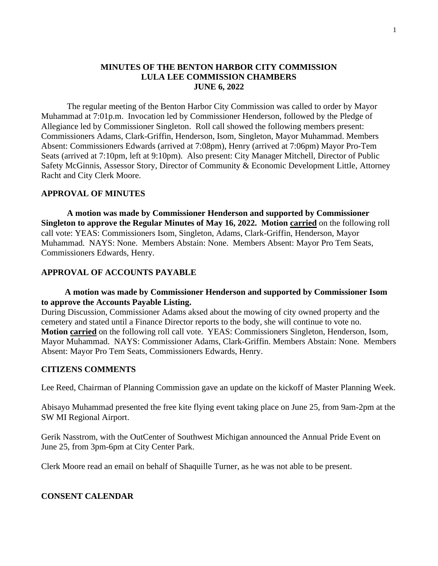# **MINUTES OF THE BENTON HARBOR CITY COMMISSION LULA LEE COMMISSION CHAMBERS JUNE 6, 2022**

The regular meeting of the Benton Harbor City Commission was called to order by Mayor Muhammad at 7:01p.m. Invocation led by Commissioner Henderson, followed by the Pledge of Allegiance led by Commissioner Singleton. Roll call showed the following members present: Commissioners Adams, Clark-Griffin, Henderson, Isom, Singleton, Mayor Muhammad. Members Absent: Commissioners Edwards (arrived at 7:08pm), Henry (arrived at 7:06pm) Mayor Pro-Tem Seats (arrived at 7:10pm, left at 9:10pm). Also present: City Manager Mitchell, Director of Public Safety McGinnis, Assessor Story, Director of Community & Economic Development Little, Attorney Racht and City Clerk Moore.

### **APPROVAL OF MINUTES**

**A motion was made by Commissioner Henderson and supported by Commissioner Singleton to approve the Regular Minutes of May 16, 2022. Motion carried** on the following roll call vote: YEAS: Commissioners Isom, Singleton, Adams, Clark-Griffin, Henderson, Mayor Muhammad. NAYS: None. Members Abstain: None. Members Absent: Mayor Pro Tem Seats, Commissioners Edwards, Henry.

# **APPROVAL OF ACCOUNTS PAYABLE**

## **A motion was made by Commissioner Henderson and supported by Commissioner Isom to approve the Accounts Payable Listing.**

During Discussion, Commissioner Adams aksed about the mowing of city owned property and the cemetery and stated until a Finance Director reports to the body, she will continue to vote no. **Motion carried** on the following roll call vote. YEAS: Commissioners Singleton, Henderson, Isom, Mayor Muhammad. NAYS: Commissioner Adams, Clark-Griffin. Members Abstain: None. Members Absent: Mayor Pro Tem Seats, Commissioners Edwards, Henry.

### **CITIZENS COMMENTS**

Lee Reed, Chairman of Planning Commission gave an update on the kickoff of Master Planning Week.

Abisayo Muhammad presented the free kite flying event taking place on June 25, from 9am-2pm at the SW MI Regional Airport.

Gerik Nasstrom, with the OutCenter of Southwest Michigan announced the Annual Pride Event on June 25, from 3pm-6pm at City Center Park.

Clerk Moore read an email on behalf of Shaquille Turner, as he was not able to be present.

## **CONSENT CALENDAR**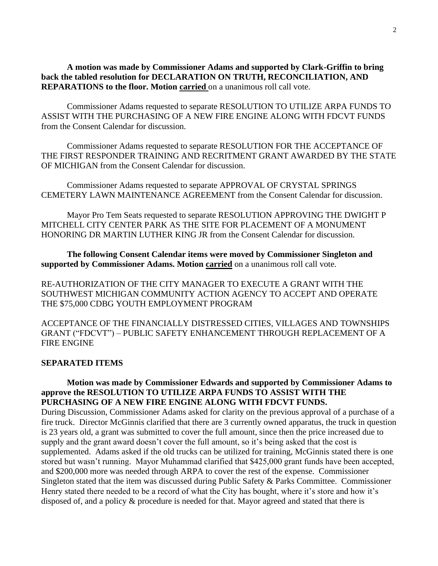**A motion was made by Commissioner Adams and supported by Clark-Griffin to bring back the tabled resolution for DECLARATION ON TRUTH, RECONCILIATION, AND REPARATIONS to the floor. Motion carried** on a unanimous roll call vote.

Commissioner Adams requested to separate RESOLUTION TO UTILIZE ARPA FUNDS TO ASSIST WITH THE PURCHASING OF A NEW FIRE ENGINE ALONG WITH FDCVT FUNDS from the Consent Calendar for discussion.

Commissioner Adams requested to separate RESOLUTION FOR THE ACCEPTANCE OF THE FIRST RESPONDER TRAINING AND RECRITMENT GRANT AWARDED BY THE STATE OF MICHIGAN from the Consent Calendar for discussion.

Commissioner Adams requested to separate APPROVAL OF CRYSTAL SPRINGS CEMETERY LAWN MAINTENANCE AGREEMENT from the Consent Calendar for discussion.

Mayor Pro Tem Seats requested to separate RESOLUTION APPROVING THE DWIGHT P MITCHELL CITY CENTER PARK AS THE SITE FOR PLACEMENT OF A MONUMENT HONORING DR MARTIN LUTHER KING JR from the Consent Calendar for discussion.

**The following Consent Calendar items were moved by Commissioner Singleton and supported by Commissioner Adams. Motion carried** on a unanimous roll call vote.

RE-AUTHORIZATION OF THE CITY MANAGER TO EXECUTE A GRANT WITH THE SOUTHWEST MICHIGAN COMMUNITY ACTION AGENCY TO ACCEPT AND OPERATE THE \$75,000 CDBG YOUTH EMPLOYMENT PROGRAM

ACCEPTANCE OF THE FINANCIALLY DISTRESSED CITIES, VILLAGES AND TOWNSHIPS GRANT ("FDCVT") – PUBLIC SAFETY ENHANCEMENT THROUGH REPLACEMENT OF A FIRE ENGINE

#### **SEPARATED ITEMS**

## **Motion was made by Commissioner Edwards and supported by Commissioner Adams to approve the RESOLUTION TO UTILIZE ARPA FUNDS TO ASSIST WITH THE PURCHASING OF A NEW FIRE ENGINE ALONG WITH FDCVT FUNDS.**

During Discussion, Commissioner Adams asked for clarity on the previous approval of a purchase of a fire truck. Director McGinnis clarified that there are 3 currently owned apparatus, the truck in question is 23 years old, a grant was submitted to cover the full amount, since then the price increased due to supply and the grant award doesn't cover the full amount, so it's being asked that the cost is supplemented. Adams asked if the old trucks can be utilized for training, McGinnis stated there is one stored but wasn't running. Mayor Muhammad clarified that \$425,000 grant funds have been accepted, and \$200,000 more was needed through ARPA to cover the rest of the expense. Commissioner Singleton stated that the item was discussed during Public Safety & Parks Committee. Commissioner Henry stated there needed to be a record of what the City has bought, where it's store and how it's disposed of, and a policy & procedure is needed for that. Mayor agreed and stated that there is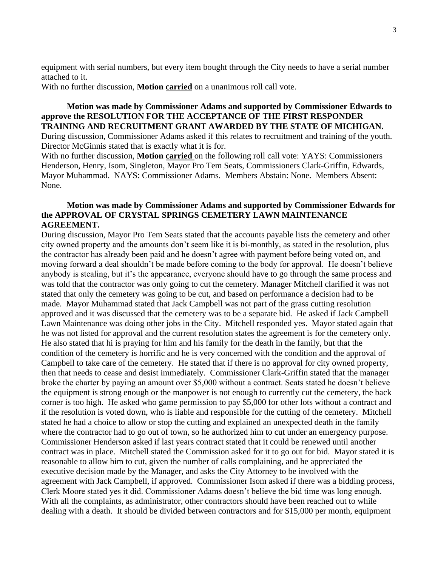equipment with serial numbers, but every item bought through the City needs to have a serial number attached to it.

With no further discussion, **Motion carried** on a unanimous roll call vote.

# **Motion was made by Commissioner Adams and supported by Commissioner Edwards to approve the RESOLUTION FOR THE ACCEPTANCE OF THE FIRST RESPONDER TRAINING AND RECRUITMENT GRANT AWARDED BY THE STATE OF MICHIGAN.**

During discussion, Commissioner Adams asked if this relates to recruitment and training of the youth. Director McGinnis stated that is exactly what it is for.

With no further discussion, **Motion carried** on the following roll call vote: YAYS: Commissioners Henderson, Henry, Isom, Singleton, Mayor Pro Tem Seats, Commissioners Clark-Griffin, Edwards, Mayor Muhammad. NAYS: Commissioner Adams. Members Abstain: None. Members Absent: None.

# **Motion was made by Commissioner Adams and supported by Commissioner Edwards for the APPROVAL OF CRYSTAL SPRINGS CEMETERY LAWN MAINTENANCE AGREEMENT.**

During discussion, Mayor Pro Tem Seats stated that the accounts payable lists the cemetery and other city owned property and the amounts don't seem like it is bi-monthly, as stated in the resolution, plus the contractor has already been paid and he doesn't agree with payment before being voted on, and moving forward a deal shouldn't be made before coming to the body for approval. He doesn't believe anybody is stealing, but it's the appearance, everyone should have to go through the same process and was told that the contractor was only going to cut the cemetery. Manager Mitchell clarified it was not stated that only the cemetery was going to be cut, and based on performance a decision had to be made. Mayor Muhammad stated that Jack Campbell was not part of the grass cutting resolution approved and it was discussed that the cemetery was to be a separate bid. He asked if Jack Campbell Lawn Maintenance was doing other jobs in the City. Mitchell responded yes. Mayor stated again that he was not listed for approval and the current resolution states the agreement is for the cemetery only. He also stated that hi is praying for him and his family for the death in the family, but that the condition of the cemetery is horrific and he is very concerned with the condition and the approval of Campbell to take care of the cemetery. He stated that if there is no approval for city owned property, then that needs to cease and desist immediately. Commissioner Clark-Griffin stated that the manager broke the charter by paying an amount over \$5,000 without a contract. Seats stated he doesn't believe the equipment is strong enough or the manpower is not enough to currently cut the cemetery, the back corner is too high. He asked who game permission to pay \$5,000 for other lots without a contract and if the resolution is voted down, who is liable and responsible for the cutting of the cemetery. Mitchell stated he had a choice to allow or stop the cutting and explained an unexpected death in the family where the contractor had to go out of town, so he authorized him to cut under an emergency purpose. Commissioner Henderson asked if last years contract stated that it could be renewed until another contract was in place. Mitchell stated the Commission asked for it to go out for bid. Mayor stated it is reasonable to allow him to cut, given the number of calls complaining, and he appreciated the executive decision made by the Manager, and asks the City Attorney to be involved with the agreement with Jack Campbell, if approved. Commissioner Isom asked if there was a bidding process, Clerk Moore stated yes it did. Commissioner Adams doesn't believe the bid time was long enough. With all the complaints, as administrator, other contractors should have been reached out to while dealing with a death. It should be divided between contractors and for \$15,000 per month, equipment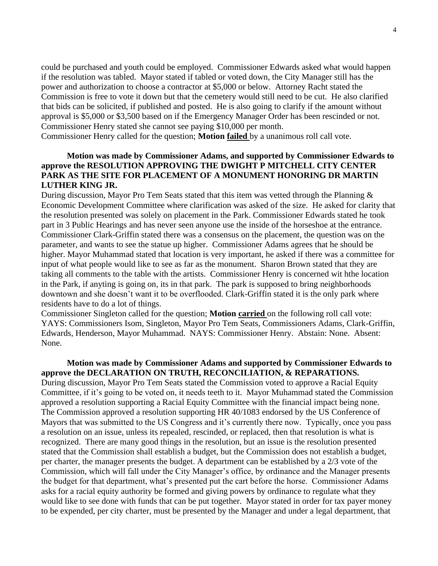could be purchased and youth could be employed. Commissioner Edwards asked what would happen if the resolution was tabled. Mayor stated if tabled or voted down, the City Manager still has the power and authorization to choose a contractor at \$5,000 or below. Attorney Racht stated the Commission is free to vote it down but that the cemetery would still need to be cut. He also clarified that bids can be solicited, if published and posted. He is also going to clarify if the amount without approval is \$5,000 or \$3,500 based on if the Emergency Manager Order has been rescinded or not. Commissioner Henry stated she cannot see paying \$10,000 per month.

Commissioner Henry called for the question; **Motion failed** by a unanimous roll call vote.

# **Motion was made by Commissioner Adams, and supported by Commissioner Edwards to approve the RESOLUTION APPROVING THE DWIGHT P MITCHELL CITY CENTER PARK AS THE SITE FOR PLACEMENT OF A MONUMENT HONORING DR MARTIN LUTHER KING JR.**

During discussion, Mayor Pro Tem Seats stated that this item was vetted through the Planning & Economic Development Committee where clarification was asked of the size. He asked for clarity that the resolution presented was solely on placement in the Park. Commissioner Edwards stated he took part in 3 Public Hearings and has never seen anyone use the inside of the horseshoe at the entrance. Commissioner Clark-Griffin stated there was a consensus on the placement, the question was on the parameter, and wants to see the statue up higher. Commissioner Adams agrees that he should be higher. Mayor Muhammad stated that location is very important, he asked if there was a committee for input of what people would like to see as far as the monument. Sharon Brown stated that they are taking all comments to the table with the artists. Commissioner Henry is concerned wit hthe location in the Park, if anyting is going on, its in that park. The park is supposed to bring neighborhoods downtown and she doesn't want it to be overflooded. Clark-Griffin stated it is the only park where residents have to do a lot of things.

Commissioner Singleton called for the question; **Motion carried** on the following roll call vote: YAYS: Commissioners Isom, Singleton, Mayor Pro Tem Seats, Commissioners Adams, Clark-Griffin, Edwards, Henderson, Mayor Muhammad. NAYS: Commissioner Henry. Abstain: None. Absent: None.

# **Motion was made by Commissioner Adams and supported by Commissioner Edwards to approve the DECLARATION ON TRUTH, RECONCILIATION, & REPARATIONS.**

During discussion, Mayor Pro Tem Seats stated the Commission voted to approve a Racial Equity Committee, if it's going to be voted on, it needs teeth to it. Mayor Muhammad stated the Commission approved a resolution supporting a Racial Equity Committee with the financial impact being none. The Commission approved a resolution supporting HR 40/1083 endorsed by the US Conference of Mayors that was submitted to the US Congress and it's currently there now. Typically, once you pass a resolution on an issue, unless its repealed, rescinded, or replaced, then that resolution is what is recognized. There are many good things in the resolution, but an issue is the resolution presented stated that the Commission shall establish a budget, but the Commission does not establish a budget, per charter, the manager presents the budget. A department can be established by a 2/3 vote of the Commission, which will fall under the City Manager's office, by ordinance and the Manager presents the budget for that department, what's presented put the cart before the horse. Commissioner Adams asks for a racial equity authority be formed and giving powers by ordinance to regulate what they would like to see done with funds that can be put together. Mayor stated in order for tax payer money to be expended, per city charter, must be presented by the Manager and under a legal department, that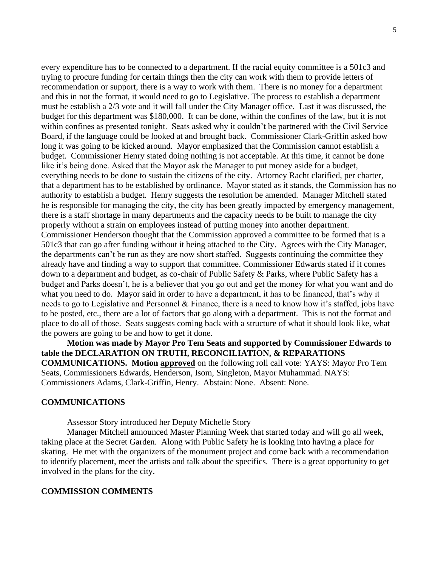every expenditure has to be connected to a department. If the racial equity committee is a 501c3 and trying to procure funding for certain things then the city can work with them to provide letters of recommendation or support, there is a way to work with them. There is no money for a department and this in not the format, it would need to go to Legislative. The process to establish a department must be establish a 2/3 vote and it will fall under the City Manager office. Last it was discussed, the budget for this department was \$180,000. It can be done, within the confines of the law, but it is not within confines as presented tonight. Seats asked why it couldn't be partnered with the Civil Service Board, if the language could be looked at and brought back. Commissioner Clark-Griffin asked how long it was going to be kicked around. Mayor emphasized that the Commission cannot establish a budget. Commissioner Henry stated doing nothing is not acceptable. At this time, it cannot be done like it's being done. Asked that the Mayor ask the Manager to put money aside for a budget, everything needs to be done to sustain the citizens of the city. Attorney Racht clarified, per charter, that a department has to be established by ordinance. Mayor stated as it stands, the Commission has no authority to establish a budget. Henry suggests the resolution be amended. Manager Mitchell stated he is responsible for managing the city, the city has been greatly impacted by emergency management, there is a staff shortage in many departments and the capacity needs to be built to manage the city properly without a strain on employees instead of putting money into another department. Commissioner Henderson thought that the Commission approved a committee to be formed that is a 501c3 that can go after funding without it being attached to the City. Agrees with the City Manager, the departments can't be run as they are now short staffed. Suggests continuing the committee they already have and finding a way to support that committee. Commissioner Edwards stated if it comes down to a department and budget, as co-chair of Public Safety & Parks, where Public Safety has a budget and Parks doesn't, he is a believer that you go out and get the money for what you want and do what you need to do. Mayor said in order to have a department, it has to be financed, that's why it needs to go to Legislative and Personnel & Finance, there is a need to know how it's staffed, jobs have to be posted, etc., there are a lot of factors that go along with a department. This is not the format and place to do all of those. Seats suggests coming back with a structure of what it should look like, what the powers are going to be and how to get it done.

**Motion was made by Mayor Pro Tem Seats and supported by Commissioner Edwards to table the DECLARATION ON TRUTH, RECONCILIATION, & REPARATIONS COMMUNICATIONS. Motion approved** on the following roll call vote: YAYS: Mayor Pro Tem Seats, Commissioners Edwards, Henderson, Isom, Singleton, Mayor Muhammad. NAYS: Commissioners Adams, Clark-Griffin, Henry. Abstain: None. Absent: None.

#### **COMMUNICATIONS**

Assessor Story introduced her Deputy Michelle Story

Manager Mitchell announced Master Planning Week that started today and will go all week, taking place at the Secret Garden. Along with Public Safety he is looking into having a place for skating. He met with the organizers of the monument project and come back with a recommendation to identify placement, meet the artists and talk about the specifics. There is a great opportunity to get involved in the plans for the city.

# **COMMISSION COMMENTS**